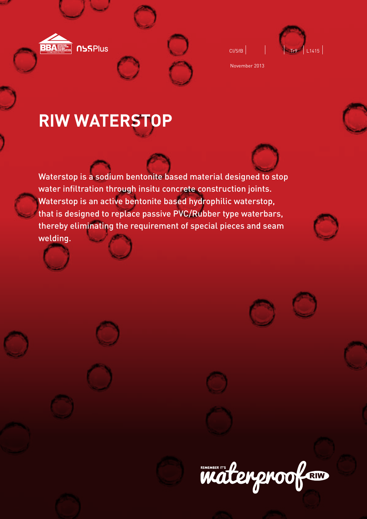

| CI/SfB |  |
|--------|--|



November 2013

# **RIW WATERSTOP**

Waterstop is a sodium bentonite based material designed to stop water infiltration through insitu concrete construction joints. Waterstop is an active bentonite based hydrophilic waterstop, that is designed to replace passive PVC/Rubber type waterbars, thereby eliminating the requirement of special pieces and seam welding.







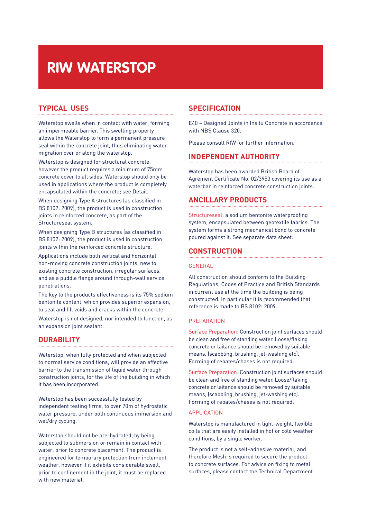# **RIW WATERSTOP**

# **TYPICAL USES**

Waterstop swells when in contact with water, forming an impermeable barrier. This swelling property allows the Waterstop to form a permanent pressure seal within the concrete joint, thus eliminating water migration over or along the waterstop.

Waterstop is designed for structural concrete, however the product requires a minimum of 75mm concrete cover to all sides. Waterstop should only be used in applications where the product is completely encapsulated within the concrete; see Detail.

When designing Type A structures (as classified in BS 8102: 2009), the product is used in construction joints in reinforced concrete, as part of the Structureseal system.

When designing Type B structures (as classified in BS 8102: 2009), the product is used in construction joints within the reinforced concrete structure.

Applications include both vertical and horizontal non-moving concrete construction joints, new to existing concrete construction, irregular surfaces, and as a puddle flange around through-wall service penetrations.

The key to the products effectiveness is its 75% sodium bentonite content, which provides superior expansion, to seal and fill voids and cracks within the concrete.

Waterstop is not designed, nor intended to function, as an expansion joint sealant.

# **DURABILITY**

Waterstop, when fully protected and when subjected to normal service conditions, will provide an effective barrier to the transmission of liquid water through construction joints, for the life of the building in which it has been incorporated.

Waterstop has been successfully tested by independent testing firms, to over 70m of hydrostatic water pressure, under both continuous immersion and wet/dry cycling.

Waterstop should not be pre-hydrated, by being subjected to submersion or remain in contact with water, prior to concrete placement. The product is engineered for temporary protection from inclement weather, however if it exhibits considerable swell, prior to confinement in the joint, it must be replaced with new material.

# **SPECIFICATION**

E40 – Designed Joints in Insitu Concrete in accordance with NBS Clause 320.

Please consult RIW for further information.

# **INDEPENDENT AUTHORITY**

Waterstop has been awarded British Board of Agrément Certificate No. 02/3953 covering its use as a waterbar in reinforced concrete construction joints.

# **ANCILLARY PRODUCTS**

Structureseal: a sodium bentonite waterproofing system, encapsulated between geotextile fabrics. The system forms a strong mechanical bond to concrete poured against it. See separate data sheet.

## **CONSTRUCTION**

#### **GENERAL**

All construction should conform to the Building Regulations, Codes of Practice and British Standards in current use at the time the building is being constructed. In particular it is recommended that reference is made to BS 8102: 2009.

#### PREPARATION

Surface Preparation: Construction joint surfaces should be clean and free of standing water. Loose/flaking concrete or laitance should be removed by suitable means, (scabbling, brushing, jet-washing etc). Forming of rebates/chases is not required.

Surface Preparation: Construction joint surfaces should be clean and free of standing water. Loose/flaking concrete or laitance should be removed by suitable means, (scabbling, brushing, jet-washing etc). Forming of rebates/chases is not required.

#### APPLICATION

Waterstop is manufactured in light-weight, flexible coils that are easily installed in hot or cold weather conditions, by a single worker.

The product is not a self–adhesive material, and therefore Mesh is required to secure the product to concrete surfaces. For advice on fixing to metal surfaces, please contact the Technical Department.